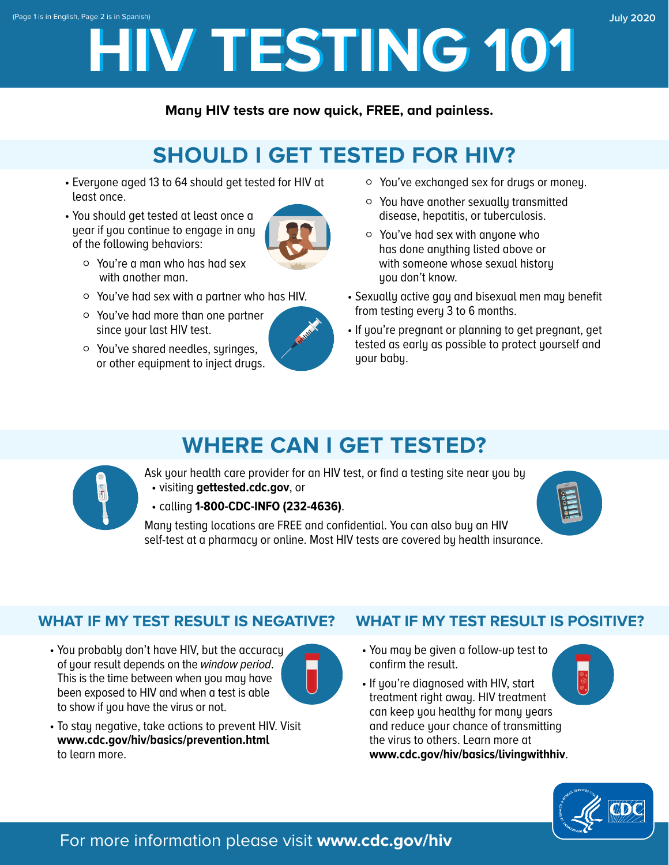# **HIV TESTING 101 HIV TESTING 101** (Page 1 is in English, Page 2 is in Spanish) **July 2020**

**Many HIV tests are now quick, FREE, and painless.**

# **SHOULD I GET TESTED FOR HIV?**

- Everyone aged 13 to 64 should get tested for HIV at least once.
- You should get tested at least once a year if you continue to engage in any of the following behaviors:



- Ǯ You're a man who has had sex with another man.
- Ǯ You've had sex with a partner who has HIV.
- Ǯ You've had more than one partner since your last HIV test.
- Ǯ You've shared needles, syringes, or other equipment to inject drugs.



- Ǯ You've exchanged sex for drugs or money.
- Ǯ You have another sexually transmitted disease, hepatitis, or tuberculosis.
- Ǯ You've had sex with anyone who has done anything listed above or with someone whose sexual history uou don't know.
- Sexually active gay and bisexual men may benefit from testing every 3 to 6 months.
- If you're pregnant or planning to get pregnant, get tested as early as possible to protect yourself and your baby.

# **WHERE CAN I GET TESTED?**



Ask your health care provider for an HIV test, or find a testing site near you by • visiting **gettested.cdc.gov**, or

• calling **1-800-CDC-INFO (232-4636)**.



Many testing locations are FREE and confidential. You can also buy an HIV self-test at a pharmacy or online. Most HIV tests are covered by health insurance.

### **WHAT IF MY TEST RESULT IS NEGATIVE?**

• You probably don't have HIV, but the accuracy **• You may be given a follow-up test to** of your result depends on the *window period.*  $\Box$ This is the time between when you may have<br>been exposed to HIV and when a test is able<br>to show if you have the virus or not.<br>can keep you healthy for many years



- To stay negative, take actions to prevent HIV. Visit and reduce your chance of transmitting **[www.cdc.gov/hiv/basics/prevention.html](http://www.cdc.gov/hiv/basics/prevention.html)** the virus to others. Learn more at to learn more. **www.cdc.gov/hiv/basics/livingwithhiv**.
- **WHAT IF MY TEST RESULT IS POSITIVE?** 
	-
	-



### For more information please visit **www.cdc.gov/hiv**